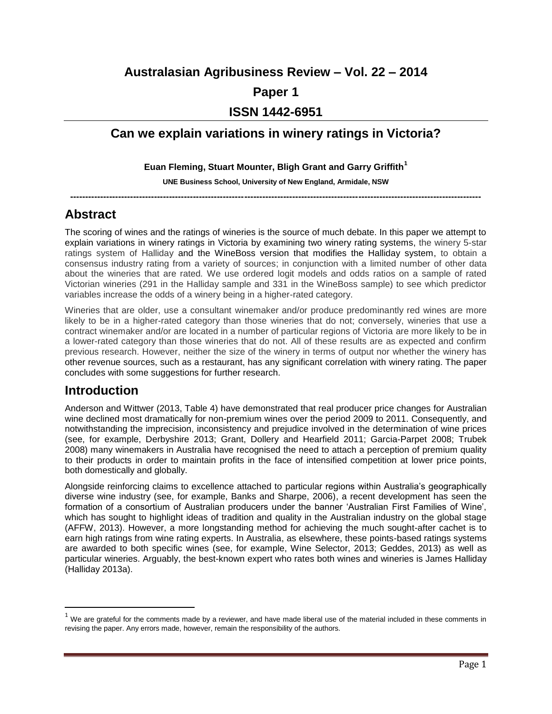### **Australasian Agribusiness Review – Vol. 22 – 2014**

### **Paper 1**

### **ISSN 1442-6951**

## **Can we explain variations in winery ratings in Victoria?**

#### **Euan Fleming, Stuart Mounter, Bligh Grant and Garry Griffith<sup>1</sup>**

#### **UNE Business School, University of New England, Armidale, NSW**

**-----------------------------------------------------------------------------------------------------------------------------------------**

## **Abstract**

The scoring of wines and the ratings of wineries is the source of much debate. In this paper we attempt to explain variations in winery ratings in Victoria by examining two winery rating systems, the winery 5-star ratings system of Halliday and the WineBoss version that modifies the Halliday system, to obtain a consensus industry rating from a variety of sources; in conjunction with a limited number of other data about the wineries that are rated*.* We use ordered logit models and odds ratios on a sample of rated Victorian wineries (291 in the Halliday sample and 331 in the WineBoss sample) to see which predictor variables increase the odds of a winery being in a higher-rated category.

Wineries that are older, use a consultant winemaker and/or produce predominantly red wines are more likely to be in a higher-rated category than those wineries that do not; conversely, wineries that use a contract winemaker and/or are located in a number of particular regions of Victoria are more likely to be in a lower-rated category than those wineries that do not. All of these results are as expected and confirm previous research. However, neither the size of the winery in terms of output nor whether the winery has other revenue sources, such as a restaurant, has any significant correlation with winery rating. The paper concludes with some suggestions for further research.

## **Introduction**

 $\overline{\phantom{a}}$ 

Anderson and Wittwer (2013, Table 4) have demonstrated that real producer price changes for Australian wine declined most dramatically for non-premium wines over the period 2009 to 2011. Consequently, and notwithstanding the imprecision, inconsistency and prejudice involved in the determination of wine prices (see, for example, Derbyshire 2013; Grant, Dollery and Hearfield 2011; Garcia-Parpet 2008; Trubek 2008) many winemakers in Australia have recognised the need to attach a perception of premium quality to their products in order to maintain profits in the face of intensified competition at lower price points, both domestically and globally.

Alongside reinforcing claims to excellence attached to particular regions within Australia's geographically diverse wine industry (see, for example, Banks and Sharpe, 2006), a recent development has seen the formation of a consortium of Australian producers under the banner 'Australian First Families of Wine', which has sought to highlight ideas of tradition and quality in the Australian industry on the global stage (AFFW, 2013). However, a more longstanding method for achieving the much sought-after cachet is to earn high ratings from wine rating experts. In Australia, as elsewhere, these points-based ratings systems are awarded to both specific wines (see, for example, Wine Selector, 2013; Geddes, 2013) as well as particular wineries. Arguably, the best-known expert who rates both wines and wineries is James Halliday (Halliday 2013a).

 $1$  We are grateful for the comments made by a reviewer, and have made liberal use of the material included in these comments in revising the paper. Any errors made, however, remain the responsibility of the authors.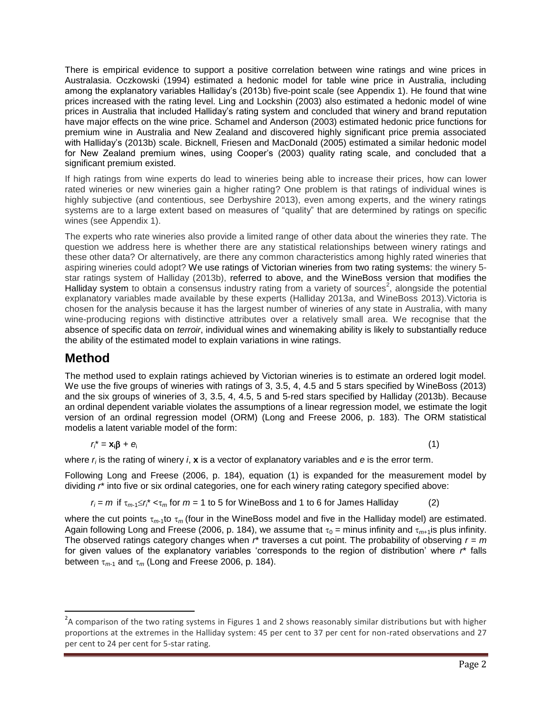There is empirical evidence to support a positive correlation between wine ratings and wine prices in Australasia. Oczkowski (1994) estimated a hedonic model for table wine price in Australia, including among the explanatory variables Halliday's (2013b) five-point scale (see Appendix 1). He found that wine prices increased with the rating level. Ling and Lockshin (2003) also estimated a hedonic model of wine prices in Australia that included Halliday's rating system and concluded that winery and brand reputation have major effects on the wine price. Schamel and Anderson (2003) estimated hedonic price functions for premium wine in Australia and New Zealand and discovered highly significant price premia associated with Halliday's (2013b) scale. Bicknell, Friesen and MacDonald (2005) estimated a similar hedonic model for New Zealand premium wines, using Cooper's (2003) quality rating scale, and concluded that a significant premium existed.

If high ratings from wine experts do lead to wineries being able to increase their prices, how can lower rated wineries or new wineries gain a higher rating? One problem is that ratings of individual wines is highly subjective (and contentious, see Derbyshire 2013), even among experts, and the winery ratings systems are to a large extent based on measures of "quality" that are determined by ratings on specific wines (see Appendix 1).

The experts who rate wineries also provide a limited range of other data about the wineries they rate. The question we address here is whether there are any statistical relationships between winery ratings and these other data? Or alternatively, are there any common characteristics among highly rated wineries that aspiring wineries could adopt? We use ratings of Victorian wineries from two rating systems: the winery 5 star ratings system of Halliday (2013b), referred to above, and the WineBoss version that modifies the Halliday system to obtain a consensus industry rating from a variety of sources<sup>2</sup>, alongside the potential explanatory variables made available by these experts (Halliday 2013a, and WineBoss 2013)*.*Victoria is chosen for the analysis because it has the largest number of wineries of any state in Australia, with many wine-producing regions with distinctive attributes over a relatively small area. We recognise that the absence of specific data on *terroir*, individual wines and winemaking ability is likely to substantially reduce the ability of the estimated model to explain variations in wine ratings.

### **Method**

 $\overline{\phantom{a}}$ 

The method used to explain ratings achieved by Victorian wineries is to estimate an ordered logit model. We use the five groups of wineries with ratings of 3, 3.5, 4, 4.5 and 5 stars specified by WineBoss (2013) and the six groups of wineries of 3, 3.5, 4, 4.5, 5 and 5-red stars specified by Halliday (2013b). Because an ordinal dependent variable violates the assumptions of a linear regression model, we estimate the logit version of an ordinal regression model (ORM) (Long and Freese 2006, p. 183). The ORM statistical modelis a latent variable model of the form:

$$
r_i^* = \mathbf{x}_i \mathbf{\beta} + \mathbf{e}_i \tag{1}
$$

where *r<sup>i</sup>* is the rating of winery *i*, **x** is a vector of explanatory variables and *e* is the error term.

Following Long and Freese (2006, p. 184), equation (1) is expanded for the measurement model by dividing  $r^*$  into five or six ordinal categories, one for each winery rating category specified above:

 $r_i = m$  if  $\tau_{m-1} \le r_i^* < \tau_m$  for  $m = 1$  to 5 for WineBoss and 1 to 6 for James Halliday (2)

where the cut points  $\tau_{m+1}$  to  $\tau_m$  (four in the WineBoss model and five in the Halliday model) are estimated. Again following Long and Freese (2006, p. 184), we assume that  $\tau_0$  = minus infinity and  $\tau_{m+1}$ is plus infinity. The observed ratings category changes when *r*\* traverses a cut point. The probability of observing *r* = *m* for given values of the explanatory variables 'corresponds to the region of distribution' where *r*\* falls between  $\tau_{m-1}$  and  $\tau_m$  (Long and Freese 2006, p. 184).

 $2$ A comparison of the two rating systems in Figures 1 and 2 shows reasonably similar distributions but with higher proportions at the extremes in the Halliday system: 45 per cent to 37 per cent for non-rated observations and 27 per cent to 24 per cent for 5-star rating.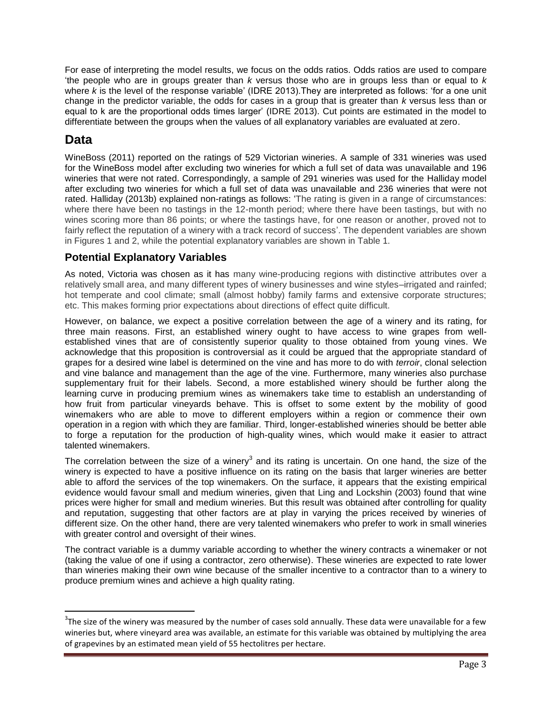For ease of interpreting the model results, we focus on the odds ratios. Odds ratios are used to compare 'the people who are in groups greater than *k* versus those who are in groups less than or equal to *k* where *k* is the level of the response variable' (IDRE 2013).They are interpreted as follows: 'for a one unit change in the predictor variable, the odds for cases in a group that is greater than *k* versus less than or equal to k are the proportional odds times larger' (IDRE 2013). Cut points are estimated in the model to differentiate between the groups when the values of all explanatory variables are evaluated at zero.

## **Data**

 $\overline{\phantom{a}}$ 

WineBoss (2011) reported on the ratings of 529 Victorian wineries. A sample of 331 wineries was used for the WineBoss model after excluding two wineries for which a full set of data was unavailable and 196 wineries that were not rated. Correspondingly, a sample of 291 wineries was used for the Halliday model after excluding two wineries for which a full set of data was unavailable and 236 wineries that were not rated. Halliday (2013b) explained non-ratings as follows: 'The rating is given in a range of circumstances: where there have been no tastings in the 12-month period; where there have been tastings, but with no wines scoring more than 86 points; or where the tastings have, for one reason or another, proved not to fairly reflect the reputation of a winery with a track record of success'. The dependent variables are shown in Figures 1 and 2, while the potential explanatory variables are shown in Table 1.

### **Potential Explanatory Variables**

As noted, Victoria was chosen as it has many wine-producing regions with distinctive attributes over a relatively small area, and many different types of winery businesses and wine styles–irrigated and rainfed; hot temperate and cool climate; small (almost hobby) family farms and extensive corporate structures; etc. This makes forming prior expectations about directions of effect quite difficult.

However, on balance, we expect a positive correlation between the age of a winery and its rating, for three main reasons. First, an established winery ought to have access to wine grapes from wellestablished vines that are of consistently superior quality to those obtained from young vines. We acknowledge that this proposition is controversial as it could be argued that the appropriate standard of grapes for a desired wine label is determined on the vine and has more to do with *terroir*, clonal selection and vine balance and management than the age of the vine. Furthermore, many wineries also purchase supplementary fruit for their labels. Second, a more established winery should be further along the learning curve in producing premium wines as winemakers take time to establish an understanding of how fruit from particular vineyards behave. This is offset to some extent by the mobility of good winemakers who are able to move to different employers within a region or commence their own operation in a region with which they are familiar. Third, longer-established wineries should be better able to forge a reputation for the production of high-quality wines, which would make it easier to attract talented winemakers.

The correlation between the size of a winery<sup>3</sup> and its rating is uncertain. On one hand, the size of the winery is expected to have a positive influence on its rating on the basis that larger wineries are better able to afford the services of the top winemakers. On the surface, it appears that the existing empirical evidence would favour small and medium wineries, given that Ling and Lockshin (2003) found that wine prices were higher for small and medium wineries. But this result was obtained after controlling for quality and reputation, suggesting that other factors are at play in varying the prices received by wineries of different size. On the other hand, there are very talented winemakers who prefer to work in small wineries with greater control and oversight of their wines.

The contract variable is a dummy variable according to whether the winery contracts a winemaker or not (taking the value of one if using a contractor, zero otherwise). These wineries are expected to rate lower than wineries making their own wine because of the smaller incentive to a contractor than to a winery to produce premium wines and achieve a high quality rating.

 $3$ The size of the winery was measured by the number of cases sold annually. These data were unavailable for a few wineries but, where vineyard area was available, an estimate for this variable was obtained by multiplying the area of grapevines by an estimated mean yield of 55 hectolitres per hectare.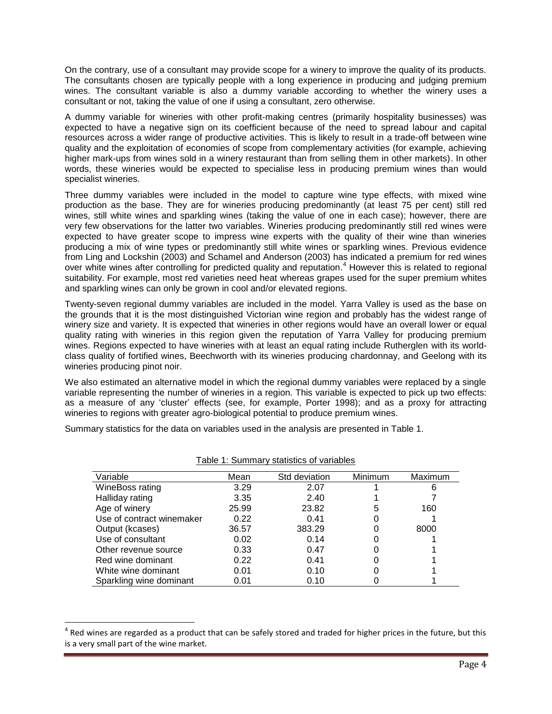On the contrary, use of a consultant may provide scope for a winery to improve the quality of its products. The consultants chosen are typically people with a long experience in producing and judging premium wines. The consultant variable is also a dummy variable according to whether the winery uses a consultant or not, taking the value of one if using a consultant, zero otherwise.

A dummy variable for wineries with other profit-making centres (primarily hospitality businesses) was expected to have a negative sign on its coefficient because of the need to spread labour and capital resources across a wider range of productive activities. This is likely to result in a trade-off between wine quality and the exploitation of economies of scope from complementary activities (for example, achieving higher mark-ups from wines sold in a winery restaurant than from selling them in other markets). In other words, these wineries would be expected to specialise less in producing premium wines than would specialist wineries.

Three dummy variables were included in the model to capture wine type effects, with mixed wine production as the base. They are for wineries producing predominantly (at least 75 per cent) still red wines, still white wines and sparkling wines (taking the value of one in each case); however, there are very few observations for the latter two variables. Wineries producing predominantly still red wines were expected to have greater scope to impress wine experts with the quality of their wine than wineries producing a mix of wine types or predominantly still white wines or sparkling wines. Previous evidence from Ling and Lockshin (2003) and Schamel and Anderson (2003) has indicated a premium for red wines over white wines after controlling for predicted quality and reputation.<sup>4</sup> However this is related to regional suitability. For example, most red varieties need heat whereas grapes used for the super premium whites and sparkling wines can only be grown in cool and/or elevated regions.

Twenty-seven regional dummy variables are included in the model. Yarra Valley is used as the base on the grounds that it is the most distinguished Victorian wine region and probably has the widest range of winery size and variety. It is expected that wineries in other regions would have an overall lower or equal quality rating with wineries in this region given the reputation of Yarra Valley for producing premium wines. Regions expected to have wineries with at least an equal rating include Rutherglen with its worldclass quality of fortified wines, Beechworth with its wineries producing chardonnay, and Geelong with its wineries producing pinot noir.

We also estimated an alternative model in which the regional dummy variables were replaced by a single variable representing the number of wineries in a region. This variable is expected to pick up two effects: as a measure of any 'cluster' effects (see, for example, Porter 1998); and as a proxy for attracting wineries to regions with greater agro-biological potential to produce premium wines.

Summary statistics for the data on variables used in the analysis are presented in Table 1.

| Variable                  | Mean  | Std deviation | Minimum | Maximum |
|---------------------------|-------|---------------|---------|---------|
| WineBoss rating           | 3.29  | 2.07          |         | 6       |
| Halliday rating           | 3.35  | 2.40          |         |         |
| Age of winery             | 25.99 | 23.82         | 5       | 160     |
| Use of contract winemaker | 0.22  | 0.41          |         |         |
| Output (kcases)           | 36.57 | 383.29        |         | 8000    |
| Use of consultant         | 0.02  | 0.14          |         |         |
| Other revenue source      | 0.33  | 0.47          |         |         |
| Red wine dominant         | 0.22  | 0.41          |         |         |
| White wine dominant       | 0.01  | 0.10          |         |         |
| Sparkling wine dominant   | 0.01  | 0.10          |         |         |

Table 1: Summary statistics of variables

l

 $^4$  Red wines are regarded as a product that can be safely stored and traded for higher prices in the future, but this is a very small part of the wine market.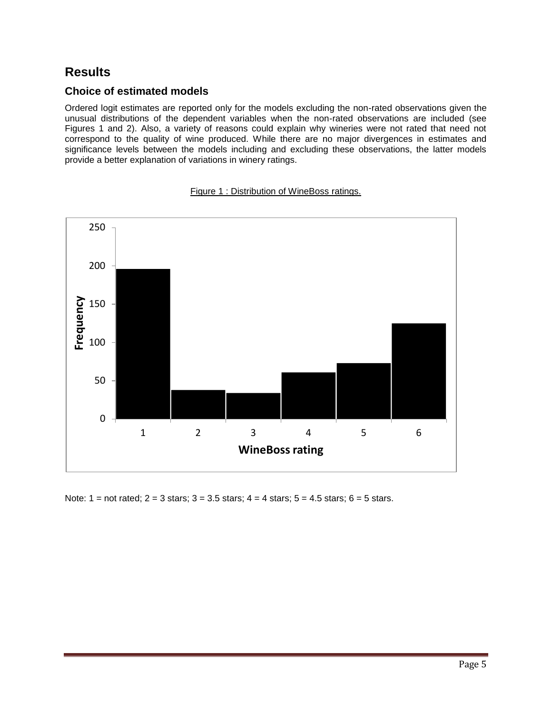## **Results**

#### **Choice of estimated models**

Ordered logit estimates are reported only for the models excluding the non-rated observations given the unusual distributions of the dependent variables when the non-rated observations are included (see Figures 1 and 2). Also, a variety of reasons could explain why wineries were not rated that need not correspond to the quality of wine produced. While there are no major divergences in estimates and significance levels between the models including and excluding these observations, the latter models provide a better explanation of variations in winery ratings.



Figure 1 : Distribution of WineBoss ratings.

Note:  $1 = \text{not rated}$ ;  $2 = 3$  stars;  $3 = 3.5$  stars;  $4 = 4$  stars;  $5 = 4.5$  stars;  $6 = 5$  stars.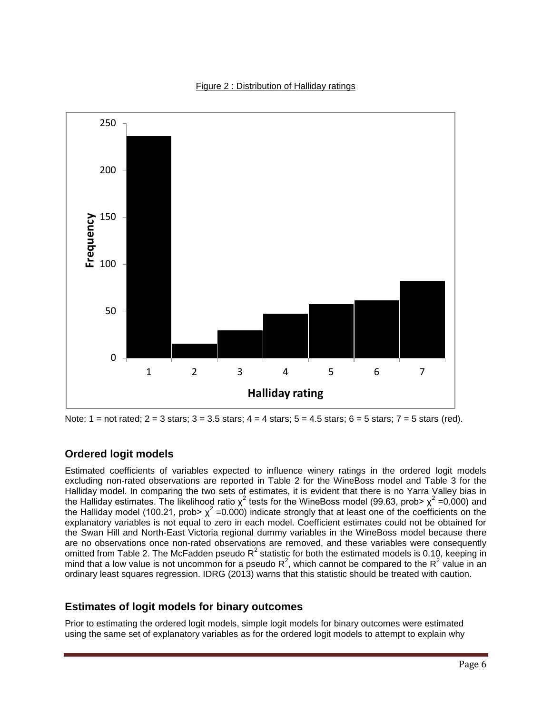#### Figure 2 : Distribution of Halliday ratings



Note:  $1 =$  not rated;  $2 = 3$  stars;  $3 = 3.5$  stars;  $4 = 4$  stars;  $5 = 4.5$  stars;  $6 = 5$  stars;  $7 = 5$  stars (red).

#### **Ordered logit models**

Estimated coefficients of variables expected to influence winery ratings in the ordered logit models excluding non-rated observations are reported in Table 2 for the WineBoss model and Table 3 for the Halliday model. In comparing the two sets of estimates, it is evident that there is no Yarra Valley bias in the Halliday estimates. The likelihood ratio  $\chi^2$  tests for the WineBoss model (99.63, prob>  $\chi^2$  =0.000) and the Halliday model (100.21, prob>  $\chi^2$  =0.000) indicate strongly that at least one of the coefficients on the explanatory variables is not equal to zero in each model. Coefficient estimates could not be obtained for the Swan Hill and North-East Victoria regional dummy variables in the WineBoss model because there are no observations once non-rated observations are removed, and these variables were consequently omitted from Table 2. The McFadden pseudo R<sup>2</sup> statistic for both the estimated models is 0.10, keeping in mind that a low value is not uncommon for a pseudo  $R^2$ , which cannot be compared to the  $R^2$  value in an ordinary least squares regression. IDRG (2013) warns that this statistic should be treated with caution.

#### **Estimates of logit models for binary outcomes**

Prior to estimating the ordered logit models, simple logit models for binary outcomes were estimated using the same set of explanatory variables as for the ordered logit models to attempt to explain why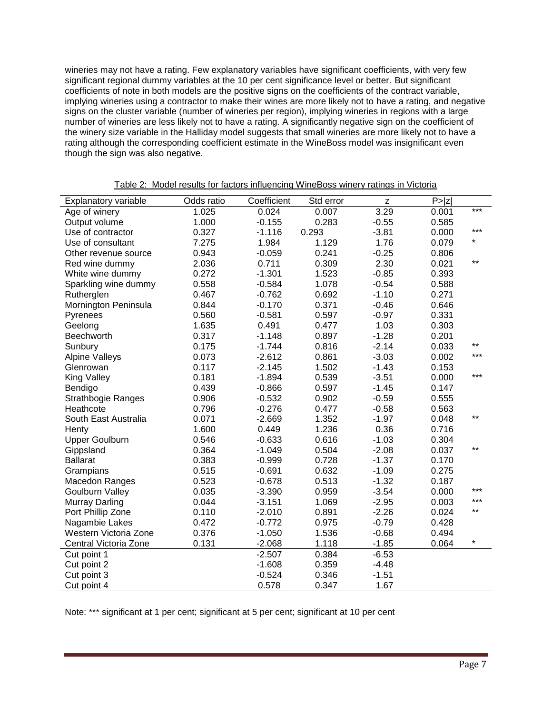wineries may not have a rating. Few explanatory variables have significant coefficients, with very few significant regional dummy variables at the 10 per cent significance level or better. But significant coefficients of note in both models are the positive signs on the coefficients of the contract variable, implying wineries using a contractor to make their wines are more likely not to have a rating, and negative signs on the cluster variable (number of wineries per region), implying wineries in regions with a large number of wineries are less likely not to have a rating. A significantly negative sign on the coefficient of the winery size variable in the Halliday model suggests that small wineries are more likely not to have a rating although the corresponding coefficient estimate in the WineBoss model was insignificant even though the sign was also negative.

| Explanatory variable      | Odds ratio | Coefficient | Std error | z       | P >  Z |          |
|---------------------------|------------|-------------|-----------|---------|--------|----------|
| Age of winery             | 1.025      | 0.024       | 0.007     | 3.29    | 0.001  | ***      |
| Output volume             | 1.000      | $-0.155$    | 0.283     | $-0.55$ | 0.585  |          |
| Use of contractor         | 0.327      | $-1.116$    | 0.293     | $-3.81$ | 0.000  | ***      |
| Use of consultant         | 7.275      | 1.984       | 1.129     | 1.76    | 0.079  | ¥        |
| Other revenue source      | 0.943      | $-0.059$    | 0.241     | $-0.25$ | 0.806  |          |
| Red wine dummy            | 2.036      | 0.711       | 0.309     | 2.30    | 0.021  | $***$    |
| White wine dummy          | 0.272      | $-1.301$    | 1.523     | $-0.85$ | 0.393  |          |
| Sparkling wine dummy      | 0.558      | $-0.584$    | 1.078     | $-0.54$ | 0.588  |          |
| Rutherglen                | 0.467      | $-0.762$    | 0.692     | $-1.10$ | 0.271  |          |
| Mornington Peninsula      | 0.844      | $-0.170$    | 0.371     | $-0.46$ | 0.646  |          |
| Pyrenees                  | 0.560      | $-0.581$    | 0.597     | $-0.97$ | 0.331  |          |
| Geelong                   | 1.635      | 0.491       | 0.477     | 1.03    | 0.303  |          |
| Beechworth                | 0.317      | $-1.148$    | 0.897     | $-1.28$ | 0.201  |          |
| Sunbury                   | 0.175      | $-1.744$    | 0.816     | $-2.14$ | 0.033  | $***$    |
| <b>Alpine Valleys</b>     | 0.073      | $-2.612$    | 0.861     | $-3.03$ | 0.002  | ***      |
| Glenrowan                 | 0.117      | $-2.145$    | 1.502     | $-1.43$ | 0.153  |          |
| <b>King Valley</b>        | 0.181      | $-1.894$    | 0.539     | $-3.51$ | 0.000  | ***      |
| Bendigo                   | 0.439      | $-0.866$    | 0.597     | $-1.45$ | 0.147  |          |
| <b>Strathbogie Ranges</b> | 0.906      | $-0.532$    | 0.902     | $-0.59$ | 0.555  |          |
| Heathcote                 | 0.796      | $-0.276$    | 0.477     | $-0.58$ | 0.563  |          |
| South East Australia      | 0.071      | $-2.669$    | 1.352     | $-1.97$ | 0.048  | $***$    |
| Henty                     | 1.600      | 0.449       | 1.236     | 0.36    | 0.716  |          |
| <b>Upper Goulburn</b>     | 0.546      | $-0.633$    | 0.616     | $-1.03$ | 0.304  |          |
| Gippsland                 | 0.364      | $-1.049$    | 0.504     | $-2.08$ | 0.037  | $***$    |
| <b>Ballarat</b>           | 0.383      | $-0.999$    | 0.728     | $-1.37$ | 0.170  |          |
| Grampians                 | 0.515      | $-0.691$    | 0.632     | $-1.09$ | 0.275  |          |
| Macedon Ranges            | 0.523      | $-0.678$    | 0.513     | $-1.32$ | 0.187  |          |
| <b>Goulburn Valley</b>    | 0.035      | $-3.390$    | 0.959     | $-3.54$ | 0.000  | ***      |
| <b>Murray Darling</b>     | 0.044      | $-3.151$    | 1.069     | $-2.95$ | 0.003  | ***      |
| Port Phillip Zone         | 0.110      | $-2.010$    | 0.891     | $-2.26$ | 0.024  | $***$    |
| Nagambie Lakes            | 0.472      | $-0.772$    | 0.975     | $-0.79$ | 0.428  |          |
| Western Victoria Zone     | 0.376      | $-1.050$    | 1.536     | $-0.68$ | 0.494  |          |
| Central Victoria Zone     | 0.131      | $-2.068$    | 1.118     | $-1.85$ | 0.064  | $^\star$ |
| Cut point 1               |            | $-2.507$    | 0.384     | $-6.53$ |        |          |
| Cut point 2               |            | $-1.608$    | 0.359     | $-4.48$ |        |          |
| Cut point 3               |            | $-0.524$    | 0.346     | $-1.51$ |        |          |
| Cut point 4               |            | 0.578       | 0.347     | 1.67    |        |          |

Note: \*\*\* significant at 1 per cent; significant at 5 per cent; significant at 10 per cent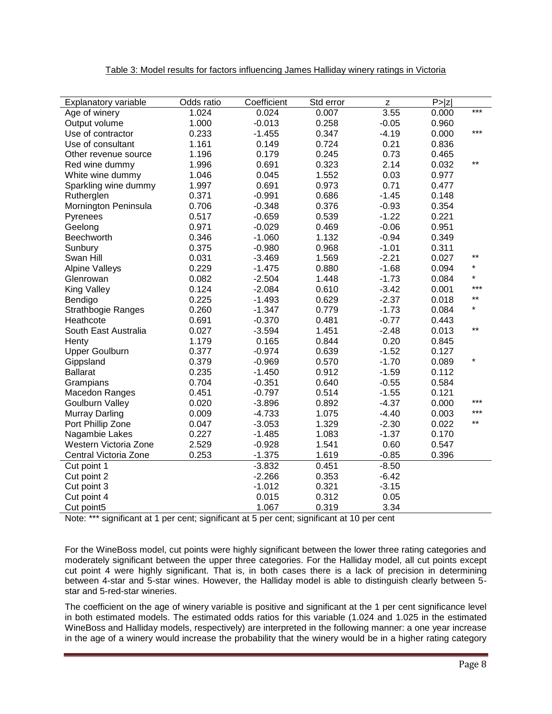| Explanatory variable   | Odds ratio | Coefficient | Std error | $\mathsf{Z}% _{0}$ | P >  Z |         |
|------------------------|------------|-------------|-----------|--------------------|--------|---------|
| Age of winery          | 1.024      | 0.024       | 0.007     | 3.55               | 0.000  | ***     |
| Output volume          | 1.000      | $-0.013$    | 0.258     | $-0.05$            | 0.960  |         |
| Use of contractor      | 0.233      | $-1.455$    | 0.347     | $-4.19$            | 0.000  | ***     |
| Use of consultant      | 1.161      | 0.149       | 0.724     | 0.21               | 0.836  |         |
| Other revenue source   | 1.196      | 0.179       | 0.245     | 0.73               | 0.465  |         |
| Red wine dummy         | 1.996      | 0.691       | 0.323     | 2.14               | 0.032  | $***$   |
| White wine dummy       | 1.046      | 0.045       | 1.552     | 0.03               | 0.977  |         |
| Sparkling wine dummy   | 1.997      | 0.691       | 0.973     | 0.71               | 0.477  |         |
| Rutherglen             | 0.371      | $-0.991$    | 0.686     | $-1.45$            | 0.148  |         |
| Mornington Peninsula   | 0.706      | $-0.348$    | 0.376     | $-0.93$            | 0.354  |         |
| Pyrenees               | 0.517      | $-0.659$    | 0.539     | $-1.22$            | 0.221  |         |
| Geelong                | 0.971      | $-0.029$    | 0.469     | $-0.06$            | 0.951  |         |
| Beechworth             | 0.346      | $-1.060$    | 1.132     | $-0.94$            | 0.349  |         |
| Sunbury                | 0.375      | $-0.980$    | 0.968     | $-1.01$            | 0.311  |         |
| Swan Hill              | 0.031      | $-3.469$    | 1.569     | $-2.21$            | 0.027  | $***$   |
| <b>Alpine Valleys</b>  | 0.229      | $-1.475$    | 0.880     | $-1.68$            | 0.094  | $\star$ |
| Glenrowan              | 0.082      | $-2.504$    | 1.448     | $-1.73$            | 0.084  | $\star$ |
| King Valley            | 0.124      | $-2.084$    | 0.610     | $-3.42$            | 0.001  | $***$   |
| Bendigo                | 0.225      | $-1.493$    | 0.629     | $-2.37$            | 0.018  | $***$   |
| Strathbogie Ranges     | 0.260      | $-1.347$    | 0.779     | $-1.73$            | 0.084  | $\star$ |
| Heathcote              | 0.691      | $-0.370$    | 0.481     | $-0.77$            | 0.443  |         |
| South East Australia   | 0.027      | $-3.594$    | 1.451     | $-2.48$            | 0.013  | $***$   |
| Henty                  | 1.179      | 0.165       | 0.844     | 0.20               | 0.845  |         |
| <b>Upper Goulburn</b>  | 0.377      | $-0.974$    | 0.639     | $-1.52$            | 0.127  |         |
| Gippsland              | 0.379      | $-0.969$    | 0.570     | $-1.70$            | 0.089  | $\star$ |
| <b>Ballarat</b>        | 0.235      | $-1.450$    | 0.912     | $-1.59$            | 0.112  |         |
| Grampians              | 0.704      | $-0.351$    | 0.640     | $-0.55$            | 0.584  |         |
| <b>Macedon Ranges</b>  | 0.451      | $-0.797$    | 0.514     | $-1.55$            | 0.121  |         |
| <b>Goulburn Valley</b> | 0.020      | $-3.896$    | 0.892     | $-4.37$            | 0.000  | ***     |
| <b>Murray Darling</b>  | 0.009      | $-4.733$    | 1.075     | $-4.40$            | 0.003  | ***     |
| Port Phillip Zone      | 0.047      | $-3.053$    | 1.329     | $-2.30$            | 0.022  | $***$   |
| Nagambie Lakes         | 0.227      | $-1.485$    | 1.083     | $-1.37$            | 0.170  |         |
| Western Victoria Zone  | 2.529      | $-0.928$    | 1.541     | 0.60               | 0.547  |         |
| Central Victoria Zone  | 0.253      | $-1.375$    | 1.619     | $-0.85$            | 0.396  |         |
| Cut point 1            |            | $-3.832$    | 0.451     | $-8.50$            |        |         |
| Cut point 2            |            | $-2.266$    | 0.353     | $-6.42$            |        |         |
| Cut point 3            |            | $-1.012$    | 0.321     | $-3.15$            |        |         |
| Cut point 4            |            | 0.015       | 0.312     | 0.05               |        |         |
| Cut point5             |            | 1.067       | 0.319     | 3.34               |        |         |

#### Table 3: Model results for factors influencing James Halliday winery ratings in Victoria

Note: \*\*\* significant at 1 per cent; significant at 5 per cent; significant at 10 per cent

For the WineBoss model, cut points were highly significant between the lower three rating categories and moderately significant between the upper three categories. For the Halliday model, all cut points except cut point 4 were highly significant. That is, in both cases there is a lack of precision in determining between 4-star and 5-star wines. However, the Halliday model is able to distinguish clearly between 5 star and 5-red-star wineries.

The coefficient on the age of winery variable is positive and significant at the 1 per cent significance level in both estimated models. The estimated odds ratios for this variable (1.024 and 1.025 in the estimated WineBoss and Halliday models, respectively) are interpreted in the following manner: a one year increase in the age of a winery would increase the probability that the winery would be in a higher rating category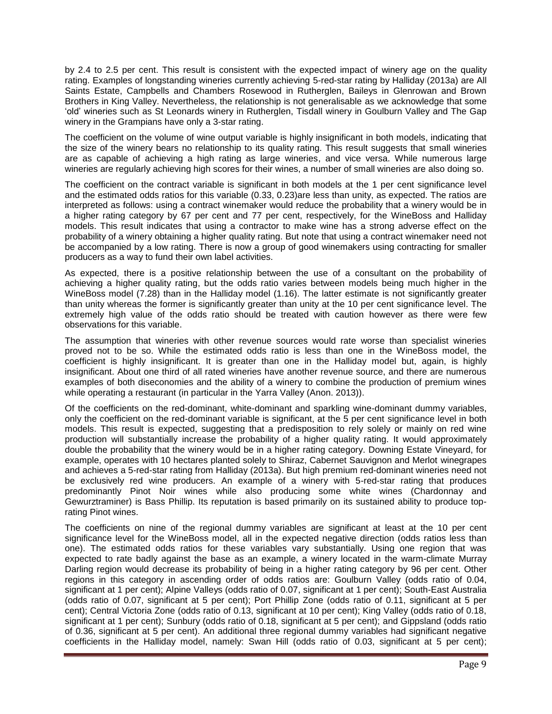by 2.4 to 2.5 per cent. This result is consistent with the expected impact of winery age on the quality rating. Examples of longstanding wineries currently achieving 5-red-star rating by Halliday (2013a) are All Saints Estate, Campbells and Chambers Rosewood in Rutherglen, Baileys in Glenrowan and Brown Brothers in King Valley. Nevertheless, the relationship is not generalisable as we acknowledge that some 'old' wineries such as St Leonards winery in Rutherglen, Tisdall winery in Goulburn Valley and The Gap winery in the Grampians have only a 3-star rating.

The coefficient on the volume of wine output variable is highly insignificant in both models, indicating that the size of the winery bears no relationship to its quality rating. This result suggests that small wineries are as capable of achieving a high rating as large wineries, and vice versa. While numerous large wineries are regularly achieving high scores for their wines, a number of small wineries are also doing so.

The coefficient on the contract variable is significant in both models at the 1 per cent significance level and the estimated odds ratios for this variable (0.33, 0.23)are less than unity, as expected. The ratios are interpreted as follows: using a contract winemaker would reduce the probability that a winery would be in a higher rating category by 67 per cent and 77 per cent, respectively, for the WineBoss and Halliday models. This result indicates that using a contractor to make wine has a strong adverse effect on the probability of a winery obtaining a higher quality rating. But note that using a contract winemaker need not be accompanied by a low rating. There is now a group of good winemakers using contracting for smaller producers as a way to fund their own label activities.

As expected, there is a positive relationship between the use of a consultant on the probability of achieving a higher quality rating, but the odds ratio varies between models being much higher in the WineBoss model (7.28) than in the Halliday model (1.16). The latter estimate is not significantly greater than unity whereas the former is significantly greater than unity at the 10 per cent significance level. The extremely high value of the odds ratio should be treated with caution however as there were few observations for this variable.

The assumption that wineries with other revenue sources would rate worse than specialist wineries proved not to be so. While the estimated odds ratio is less than one in the WineBoss model, the coefficient is highly insignificant. It is greater than one in the Halliday model but, again, is highly insignificant. About one third of all rated wineries have another revenue source, and there are numerous examples of both diseconomies and the ability of a winery to combine the production of premium wines while operating a restaurant (in particular in the Yarra Valley (Anon. 2013)).

Of the coefficients on the red-dominant, white-dominant and sparkling wine-dominant dummy variables, only the coefficient on the red-dominant variable is significant, at the 5 per cent significance level in both models. This result is expected, suggesting that a predisposition to rely solely or mainly on red wine production will substantially increase the probability of a higher quality rating. It would approximately double the probability that the winery would be in a higher rating category. Downing Estate Vineyard, for example, operates with 10 hectares planted solely to Shiraz, Cabernet Sauvignon and Merlot winegrapes and achieves a 5-red-star rating from Halliday (2013a). But high premium red-dominant wineries need not be exclusively red wine producers. An example of a winery with 5-red-star rating that produces predominantly Pinot Noir wines while also producing some white wines (Chardonnay and Gewurztraminer) is Bass Phillip. Its reputation is based primarily on its sustained ability to produce toprating Pinot wines.

The coefficients on nine of the regional dummy variables are significant at least at the 10 per cent significance level for the WineBoss model, all in the expected negative direction (odds ratios less than one). The estimated odds ratios for these variables vary substantially. Using one region that was expected to rate badly against the base as an example, a winery located in the warm-climate Murray Darling region would decrease its probability of being in a higher rating category by 96 per cent. Other regions in this category in ascending order of odds ratios are: Goulburn Valley (odds ratio of 0.04, significant at 1 per cent); Alpine Valleys (odds ratio of 0.07, significant at 1 per cent); South-East Australia (odds ratio of 0.07, significant at 5 per cent); Port Phillip Zone (odds ratio of 0.11, significant at 5 per cent); Central Victoria Zone (odds ratio of 0.13, significant at 10 per cent); King Valley (odds ratio of 0.18, significant at 1 per cent); Sunbury (odds ratio of 0.18, significant at 5 per cent); and Gippsland (odds ratio of 0.36, significant at 5 per cent). An additional three regional dummy variables had significant negative coefficients in the Halliday model, namely: Swan Hill (odds ratio of 0.03, significant at 5 per cent);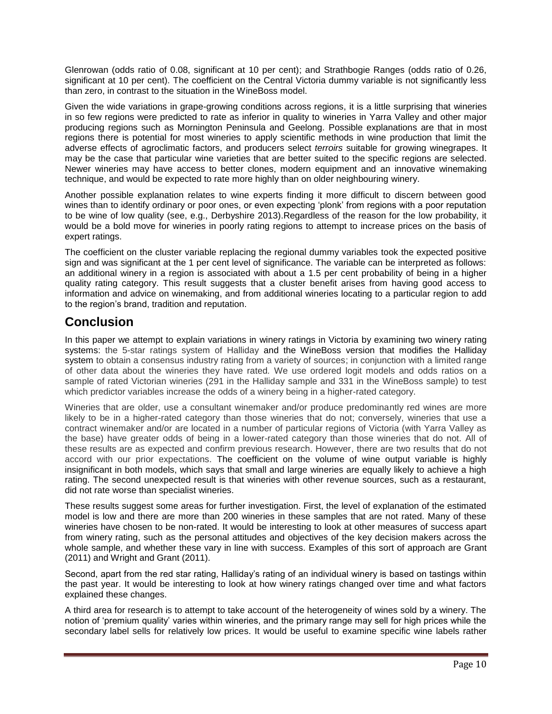Glenrowan (odds ratio of 0.08, significant at 10 per cent); and Strathbogie Ranges (odds ratio of 0.26, significant at 10 per cent). The coefficient on the Central Victoria dummy variable is not significantly less than zero, in contrast to the situation in the WineBoss model.

Given the wide variations in grape-growing conditions across regions, it is a little surprising that wineries in so few regions were predicted to rate as inferior in quality to wineries in Yarra Valley and other major producing regions such as Mornington Peninsula and Geelong. Possible explanations are that in most regions there is potential for most wineries to apply scientific methods in wine production that limit the adverse effects of agroclimatic factors, and producers select *terroirs* suitable for growing winegrapes. It may be the case that particular wine varieties that are better suited to the specific regions are selected. Newer wineries may have access to better clones, modern equipment and an innovative winemaking technique, and would be expected to rate more highly than on older neighbouring winery.

Another possible explanation relates to wine experts finding it more difficult to discern between good wines than to identify ordinary or poor ones, or even expecting 'plonk' from regions with a poor reputation to be wine of low quality (see, e.g., Derbyshire 2013).Regardless of the reason for the low probability, it would be a bold move for wineries in poorly rating regions to attempt to increase prices on the basis of expert ratings.

The coefficient on the cluster variable replacing the regional dummy variables took the expected positive sign and was significant at the 1 per cent level of significance. The variable can be interpreted as follows: an additional winery in a region is associated with about a 1.5 per cent probability of being in a higher quality rating category. This result suggests that a cluster benefit arises from having good access to information and advice on winemaking, and from additional wineries locating to a particular region to add to the region's brand, tradition and reputation.

## **Conclusion**

In this paper we attempt to explain variations in winery ratings in Victoria by examining two winery rating systems: the 5-star ratings system of Halliday and the WineBoss version that modifies the Halliday system to obtain a consensus industry rating from a variety of sources; in conjunction with a limited range of other data about the wineries they have rated*.* We use ordered logit models and odds ratios on a sample of rated Victorian wineries (291 in the Halliday sample and 331 in the WineBoss sample) to test which predictor variables increase the odds of a winery being in a higher-rated category.

Wineries that are older, use a consultant winemaker and/or produce predominantly red wines are more likely to be in a higher-rated category than those wineries that do not; conversely, wineries that use a contract winemaker and/or are located in a number of particular regions of Victoria (with Yarra Valley as the base) have greater odds of being in a lower-rated category than those wineries that do not. All of these results are as expected and confirm previous research. However, there are two results that do not accord with our prior expectations. The coefficient on the volume of wine output variable is highly insignificant in both models, which says that small and large wineries are equally likely to achieve a high rating. The second unexpected result is that wineries with other revenue sources, such as a restaurant, did not rate worse than specialist wineries.

These results suggest some areas for further investigation. First, the level of explanation of the estimated model is low and there are more than 200 wineries in these samples that are not rated. Many of these wineries have chosen to be non-rated. It would be interesting to look at other measures of success apart from winery rating, such as the personal attitudes and objectives of the key decision makers across the whole sample, and whether these vary in line with success. Examples of this sort of approach are Grant (2011) and Wright and Grant (2011).

Second, apart from the red star rating, Halliday's rating of an individual winery is based on tastings within the past year. It would be interesting to look at how winery ratings changed over time and what factors explained these changes.

A third area for research is to attempt to take account of the heterogeneity of wines sold by a winery. The notion of 'premium quality' varies within wineries, and the primary range may sell for high prices while the secondary label sells for relatively low prices. It would be useful to examine specific wine labels rather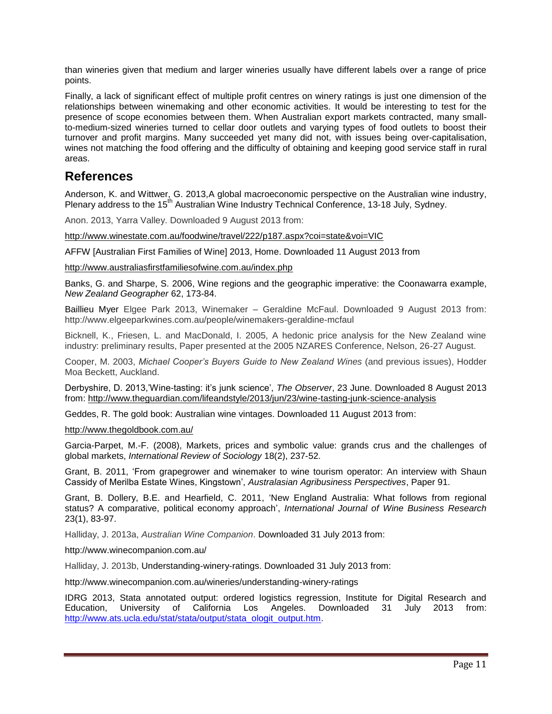than wineries given that medium and larger wineries usually have different labels over a range of price points.

Finally, a lack of significant effect of multiple profit centres on winery ratings is just one dimension of the relationships between winemaking and other economic activities. It would be interesting to test for the presence of scope economies between them. When Australian export markets contracted, many smallto-medium-sized wineries turned to cellar door outlets and varying types of food outlets to boost their turnover and profit margins. Many succeeded yet many did not, with issues being over-capitalisation, wines not matching the food offering and the difficulty of obtaining and keeping good service staff in rural areas.

### **References**

Anderson, K. and Wittwer, G. 2013,A global macroeconomic perspective on the Australian wine industry, Plenary address to the 15<sup>th</sup> Australian Wine Industry Technical Conference, 13-18 July, Sydney.

Anon. 2013, Yarra Valley. Downloaded 9 August 2013 from:

<http://www.winestate.com.au/foodwine/travel/222/p187.aspx?coi=state&voi=VIC>

AFFW [Australian First Families of Wine] 2013, Home. Downloaded 11 August 2013 from

<http://www.australiasfirstfamiliesofwine.com.au/index.php>

Banks, G. and Sharpe, S. 2006, Wine regions and the geographic imperative: the Coonawarra example, *New Zealand Geographer* 62, 173-84.

Baillieu Myer Elgee Park 2013, Winemaker – Geraldine McFaul. Downloaded 9 August 2013 from: http://www.elgeeparkwines.com.au/people/winemakers-geraldine-mcfaul

Bicknell, K., Friesen, L. and MacDonald, I. 2005, A hedonic price analysis for the New Zealand wine industry: preliminary results, Paper presented at the 2005 NZARES Conference, Nelson, 26-27 August.

Cooper, M. 2003, *Michael Cooper's Buyers Guide to New Zealand Wines* (and previous issues), Hodder Moa Beckett, Auckland.

Derbyshire, D. 2013,'Wine-tasting: it's junk science', *The Observer*, 23 June. Downloaded 8 August 2013 from: <http://www.theguardian.com/lifeandstyle/2013/jun/23/wine-tasting-junk-science-analysis>

Geddes, R. The gold book: Australian wine vintages. Downloaded 11 August 2013 from:

<http://www.thegoldbook.com.au/>

Garcia-Parpet, M.-F. (2008), Markets, prices and symbolic value: grands crus and the challenges of global markets, *International Review of Sociology* 18(2), 237-52.

Grant, B. 2011, 'From grapegrower and winemaker to wine tourism operator: An interview with Shaun Cassidy of Merilba Estate Wines, Kingstown', *Australasian Agribusiness Perspectives*, Paper 91.

Grant, B. Dollery, B.E. and Hearfield, C. 2011, 'New England Australia: What follows from regional status? A comparative, political economy approach', *International Journal of Wine Business Research* 23(1), 83-97.

Halliday, J. 2013a, *Australian Wine Companion*. Downloaded 31 July 2013 from:

http://www.winecompanion.com.au/

Halliday, J. 2013b, Understanding-winery-ratings. Downloaded 31 July 2013 from:

http://www.winecompanion.com.au/wineries/understanding-winery-ratings

IDRG 2013, Stata annotated output: ordered logistics regression, Institute for Digital Research and Education, University of California Los Angeles. Downloaded 31 July 2013 from: [http://www.ats.ucla.edu/stat/stata/output/stata\\_ologit\\_output.htm.](http://www.ats.ucla.edu/stat/stata/output/stata_ologit_output.htm)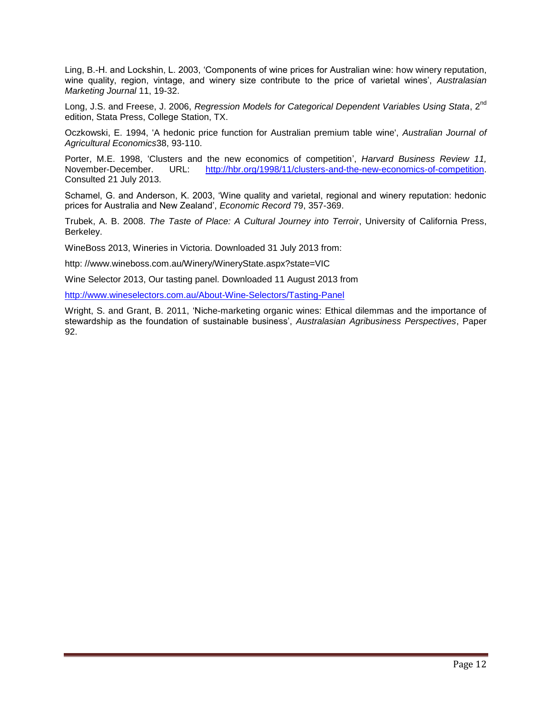Ling, B.-H. and Lockshin, L. 2003, 'Components of wine prices for Australian wine: how winery reputation, wine quality, region, vintage, and winery size contribute to the price of varietal wines', *Australasian Marketing Journal* 11, 19-32.

Long, J.S. and Freese, J. 2006, *Regression Models for Categorical Dependent Variables Using Stata*, 2<sup>nd</sup> edition, Stata Press, College Station, TX.

Oczkowski, E. 1994, 'A hedonic price function for Australian premium table wine', *Australian Journal of Agricultural Economics*38, 93-110.

Porter, M.E. 1998, 'Clusters and the new economics of competition', *Harvard Business Review 11,* November-December. URL: [http://hbr.org/1998/11/clusters-and-the-new-economics-of-competition.](http://hbr.org/1998/11/clusters-and-the-new-economics-of-competition) Consulted 21 July 2013.

Schamel, G. and Anderson, K. 2003, 'Wine quality and varietal, regional and winery reputation: hedonic prices for Australia and New Zealand', *Economic Record* 79, 357-369.

Trubek, A. B. 2008. *The Taste of Place: A Cultural Journey into Terroir*, University of California Press, Berkeley.

WineBoss 2013, Wineries in Victoria. Downloaded 31 July 2013 from:

http: //www.wineboss.com.au/Winery/WineryState.aspx?state=VIC

Wine Selector 2013, Our tasting panel. Downloaded 11 August 2013 from

<http://www.wineselectors.com.au/About-Wine-Selectors/Tasting-Panel>

Wright, S. and Grant, B. 2011, 'Niche-marketing organic wines: Ethical dilemmas and the importance of stewardship as the foundation of sustainable business', *Australasian Agribusiness Perspectives*, Paper 92.